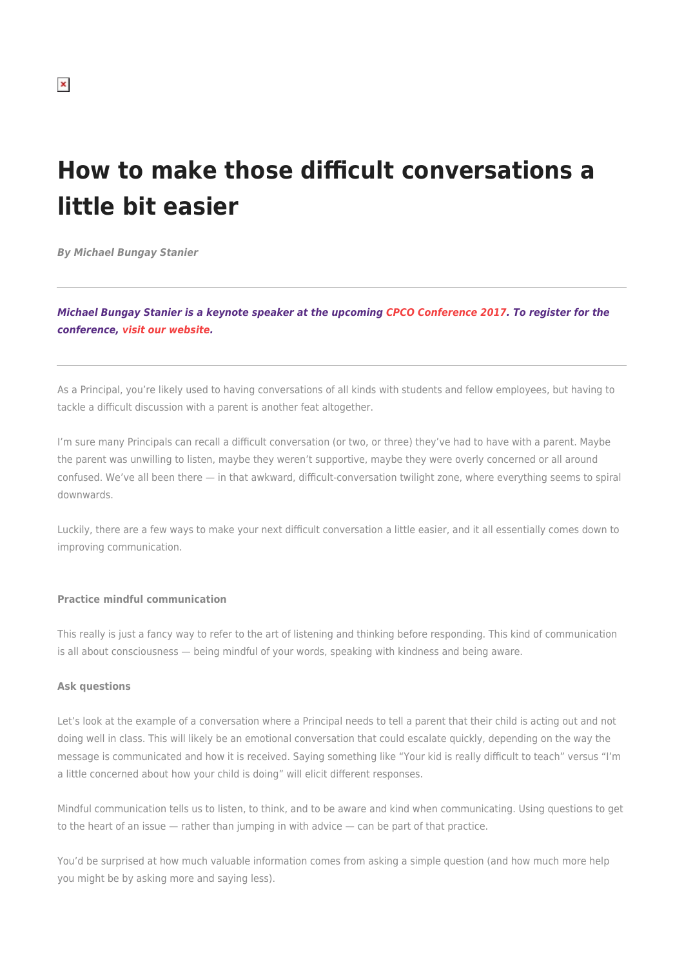# **How to make those difficult conversations a little bit easier**

*By Michael Bungay Stanier*

*Michael Bungay Stanier is a keynote speaker at the upcoming [CPCO Conference 2017.](https://cpco.on.ca/index.php/public/news/cpco-conference-2017/conference-information/) To register for the conference, [visit our website.](https://cpco.on.ca/index.php/public/news/cpco-conference-2017/regform/)*

As a Principal, you're likely used to having conversations of all kinds with students and fellow employees, but having to tackle a difficult discussion with a parent is another feat altogether.

I'm sure many Principals can recall a difficult conversation (or two, or three) they've had to have with a parent. Maybe the parent was unwilling to listen, maybe they weren't supportive, maybe they were overly concerned or all around confused. We've all been there — in that awkward, difficult-conversation twilight zone, where everything seems to spiral downwards.

Luckily, there are a few ways to make your next difficult conversation a little easier, and it all essentially comes down to improving communication.

#### **Practice mindful communication**

This really is just a fancy way to refer to the art of listening and thinking before responding. This kind of communication is all about consciousness — being mindful of your words, speaking with kindness and being aware.

#### **Ask questions**

Let's look at the example of a conversation where a Principal needs to tell a parent that their child is acting out and not doing well in class. This will likely be an emotional conversation that could escalate quickly, depending on the way the message is communicated and how it is received. Saying something like "Your kid is really difficult to teach" versus "I'm a little concerned about how your child is doing" will elicit different responses.

Mindful communication tells us to listen, to think, and to be aware and kind when communicating. Using questions to get to the heart of an issue — rather than jumping in with advice — can be part of that practice.

You'd be surprised at how much valuable information comes from asking a simple question (and how much more help you might be by asking more and saying less).